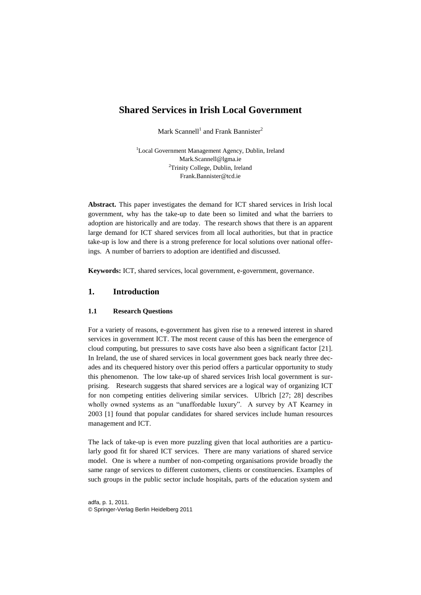# **Shared Services in Irish Local Government**

Mark Scannell<sup>1</sup> and Frank Bannister<sup>2</sup>

<sup>1</sup>Local Government Management Agency, Dublin, Ireland [Mark.Scannell@lgma.ie](mailto:Mark.Scannell@lgma.ie) <sup>2</sup>Trinity College, Dublin, Ireland [Frank.Bannister@tcd.ie](mailto:Frank.Bannister@tcd.ie)

**Abstract.** This paper investigates the demand for ICT shared services in Irish local government, why has the take-up to date been so limited and what the barriers to adoption are historically and are today. The research shows that there is an apparent large demand for ICT shared services from all local authorities, but that in practice take-up is low and there is a strong preference for local solutions over national offerings. A number of barriers to adoption are identified and discussed.

**Keywords:** ICT, shared services, local government, e-government, governance.

## **1. Introduction**

#### **1.1 Research Questions**

For a variety of reasons, e-government has given rise to a renewed interest in shared services in government ICT. The most recent cause of this has been the emergence of cloud computing, but pressures to save costs have also been a significant factor [21]. In Ireland, the use of shared services in local government goes back nearly three decades and its chequered history over this period offers a particular opportunity to study this phenomenon. The low take-up of shared services Irish local government is surprising. Research suggests that shared services are a logical way of organizing ICT for non competing entities delivering similar services. Ulbrich [27; 28] describes wholly owned systems as an "unaffordable luxury". A survey by AT Kearney in 2003 [1] found that popular candidates for shared services include human resources management and ICT.

The lack of take-up is even more puzzling given that local authorities are a particularly good fit for shared ICT services. There are many variations of shared service model. One is where a number of non-competing organisations provide broadly the same range of services to different customers, clients or constituencies. Examples of such groups in the public sector include hospitals, parts of the education system and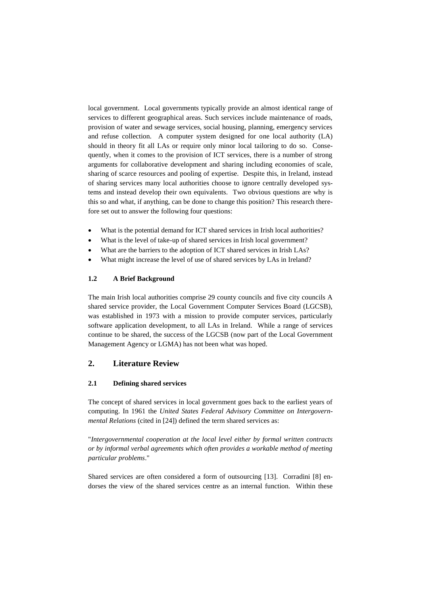local government. Local governments typically provide an almost identical range of services to different geographical areas. Such services include maintenance of roads, provision of water and sewage services, social housing, planning, emergency services and refuse collection. A computer system designed for one local authority (LA) should in theory fit all LAs or require only minor local tailoring to do so. Consequently, when it comes to the provision of ICT services, there is a number of strong arguments for collaborative development and sharing including economies of scale, sharing of scarce resources and pooling of expertise. Despite this, in Ireland, instead of sharing services many local authorities choose to ignore centrally developed systems and instead develop their own equivalents. Two obvious questions are why is this so and what, if anything, can be done to change this position? This research therefore set out to answer the following four questions:

- What is the potential demand for ICT shared services in Irish local authorities?
- What is the level of take-up of shared services in Irish local government?
- What are the barriers to the adoption of ICT shared services in Irish LAs?
- What might increase the level of use of shared services by LAs in Ireland?

## **1.2 A Brief Background**

The main Irish local authorities comprise 29 county councils and five city councils A shared service provider, the Local Government Computer Services Board (LGCSB), was established in 1973 with a mission to provide computer services, particularly software application development, to all LAs in Ireland. While a range of services continue to be shared, the success of the LGCSB (now part of the Local Government Management Agency or LGMA) has not been what was hoped.

# **2. Literature Review**

## **2.1 Defining shared services**

The concept of shared services in local government goes back to the earliest years of computing. In 1961 the *United States Federal Advisory Committee on Intergovernmental Relations* (cited in [24]) defined the term shared services as:

"*Intergovernmental cooperation at the local level either by formal written contracts or by informal verbal agreements which often provides a workable method of meeting particular problems*."

Shared services are often considered a form of outsourcing [13]. Corradini [8] endorses the view of the shared services centre as an internal function. Within these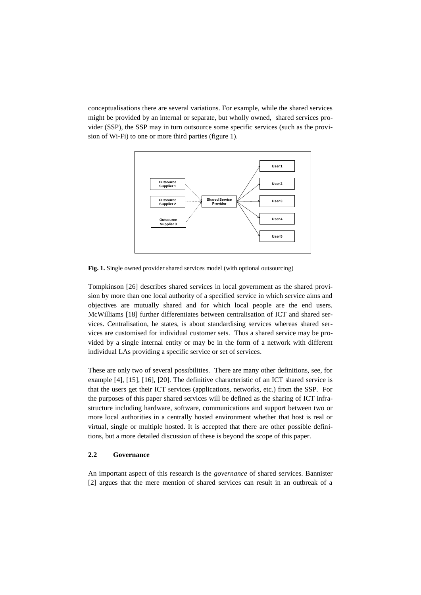conceptualisations there are several variations. For example, while the shared services might be provided by an internal or separate, but wholly owned, shared services provider (SSP), the SSP may in turn outsource some specific services (such as the provision of Wi-Fi) to one or more third parties (figure 1).



**Fig. 1.** Single owned provider shared services model (with optional outsourcing)

Tompkinson [26] describes shared services in local government as the shared provision by more than one local authority of a specified service in which service aims and objectives are mutually shared and for which local people are the end users. McWilliams [18] further differentiates between centralisation of ICT and shared services. Centralisation, he states, is about standardising services whereas shared services are customised for individual customer sets. Thus a shared service may be provided by a single internal entity or may be in the form of a network with different individual LAs providing a specific service or set of services.

These are only two of several possibilities. There are many other definitions, see, for example [4], [15], [16], [20]. The definitive characteristic of an ICT shared service is that the users get their ICT services (applications, networks, etc.) from the SSP. For the purposes of this paper shared services will be defined as the sharing of ICT infrastructure including hardware, software, communications and support between two or more local authorities in a centrally hosted environment whether that host is real or virtual, single or multiple hosted. It is accepted that there are other possible definitions, but a more detailed discussion of these is beyond the scope of this paper.

#### **2.2 Governance**

An important aspect of this research is the *governance* of shared services. Bannister [2] argues that the mere mention of shared services can result in an outbreak of a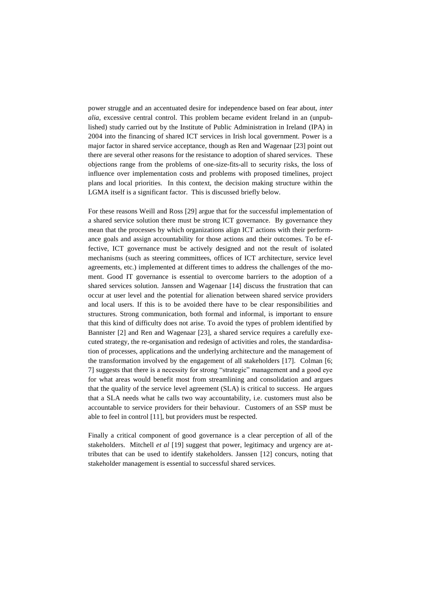power struggle and an accentuated desire for independence based on fear about, *inter alia*, excessive central control. This problem became evident Ireland in an (unpublished) study carried out by the Institute of Public Administration in Ireland (IPA) in 2004 into the financing of shared ICT services in Irish local government. Power is a major factor in shared service acceptance, though as Ren and Wagenaar [23] point out there are several other reasons for the resistance to adoption of shared services. These objections range from the problems of one-size-fits-all to security risks, the loss of influence over implementation costs and problems with proposed timelines, project plans and local priorities. In this context, the decision making structure within the LGMA itself is a significant factor. This is discussed briefly below.

For these reasons Weill and Ross [29] argue that for the successful implementation of a shared service solution there must be strong ICT governance. By governance they mean that the processes by which organizations align ICT actions with their performance goals and assign accountability for those actions and their outcomes. To be effective, ICT governance must be actively designed and not the result of isolated mechanisms (such as steering committees, offices of ICT architecture, service level agreements, etc.) implemented at different times to address the challenges of the moment. Good IT governance is essential to overcome barriers to the adoption of a shared services solution. Janssen and Wagenaar [14] discuss the frustration that can occur at user level and the potential for alienation between shared service providers and local users. If this is to be avoided there have to be clear responsibilities and structures. Strong communication, both formal and informal, is important to ensure that this kind of difficulty does not arise. To avoid the types of problem identified by Bannister [2] and Ren and Wagenaar [23], a shared service requires a carefully executed strategy, the re-organisation and redesign of activities and roles, the standardisation of processes, applications and the underlying architecture and the management of the transformation involved by the engagement of all stakeholders [17]. Colman [6; 7] suggests that there is a necessity for strong "strategic" management and a good eye for what areas would benefit most from streamlining and consolidation and argues that the quality of the service level agreement (SLA) is critical to success. He argues that a SLA needs what he calls two way accountability, i.e. customers must also be accountable to service providers for their behaviour. Customers of an SSP must be able to feel in control [11], but providers must be respected.

Finally a critical component of good governance is a clear perception of all of the stakeholders. Mitchell *et al* [19] suggest that power, legitimacy and urgency are attributes that can be used to identify stakeholders. Janssen [12] concurs, noting that stakeholder management is essential to successful shared services.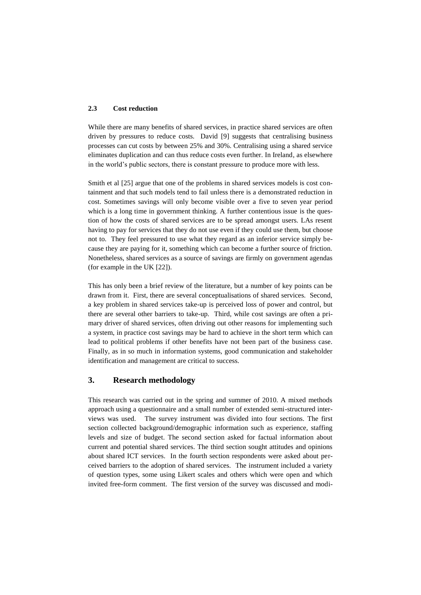## **2.3 Cost reduction**

While there are many benefits of shared services, in practice shared services are often driven by pressures to reduce costs. David [9] suggests that centralising business processes can cut costs by between 25% and 30%. Centralising using a shared service eliminates duplication and can thus reduce costs even further. In Ireland, as elsewhere in the world's public sectors, there is constant pressure to produce more with less.

Smith et al [25] argue that one of the problems in shared services models is cost containment and that such models tend to fail unless there is a demonstrated reduction in cost. Sometimes savings will only become visible over a five to seven year period which is a long time in government thinking. A further contentious issue is the question of how the costs of shared services are to be spread amongst users. LAs resent having to pay for services that they do not use even if they could use them, but choose not to. They feel pressured to use what they regard as an inferior service simply because they are paying for it, something which can become a further source of friction. Nonetheless, shared services as a source of savings are firmly on government agendas (for example in the UK [22]).

This has only been a brief review of the literature, but a number of key points can be drawn from it. First, there are several conceptualisations of shared services. Second, a key problem in shared services take-up is perceived loss of power and control, but there are several other barriers to take-up. Third, while cost savings are often a primary driver of shared services, often driving out other reasons for implementing such a system, in practice cost savings may be hard to achieve in the short term which can lead to political problems if other benefits have not been part of the business case. Finally, as in so much in information systems, good communication and stakeholder identification and management are critical to success.

## **3. Research methodology**

This research was carried out in the spring and summer of 2010. A mixed methods approach using a questionnaire and a small number of extended semi-structured interviews was used. The survey instrument was divided into four sections. The first section collected background/demographic information such as experience, staffing levels and size of budget. The second section asked for factual information about current and potential shared services. The third section sought attitudes and opinions about shared ICT services. In the fourth section respondents were asked about perceived barriers to the adoption of shared services. The instrument included a variety of question types, some using Likert scales and others which were open and which invited free-form comment. The first version of the survey was discussed and modi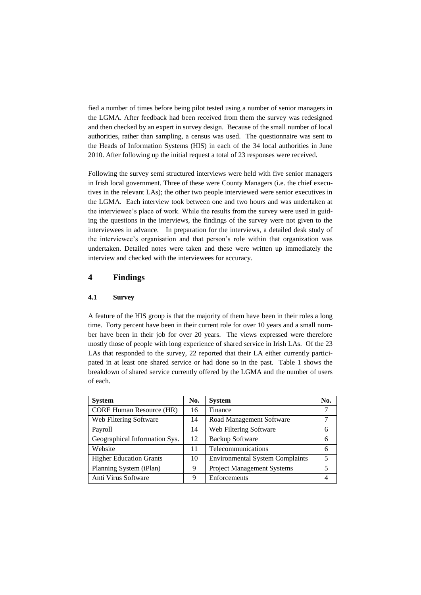fied a number of times before being pilot tested using a number of senior managers in the LGMA. After feedback had been received from them the survey was redesigned and then checked by an expert in survey design. Because of the small number of local authorities, rather than sampling, a census was used. The questionnaire was sent to the Heads of Information Systems (HIS) in each of the 34 local authorities in June 2010. After following up the initial request a total of 23 responses were received.

Following the survey semi structured interviews were held with five senior managers in Irish local government. Three of these were County Managers (i.e. the chief executives in the relevant LAs); the other two people interviewed were senior executives in the LGMA. Each interview took between one and two hours and was undertaken at the interviewee's place of work. While the results from the survey were used in guiding the questions in the interviews, the findings of the survey were not given to the interviewees in advance. In preparation for the interviews, a detailed desk study of the interviewee's organisation and that person's role within that organization was undertaken. Detailed notes were taken and these were written up immediately the interview and checked with the interviewees for accuracy.

# **4 Findings**

#### **4.1 Survey**

A feature of the HIS group is that the majority of them have been in their roles a long time. Forty percent have been in their current role for over 10 years and a small number have been in their job for over 20 years. The views expressed were therefore mostly those of people with long experience of shared service in Irish LAs. Of the 23 LAs that responded to the survey, 22 reported that their LA either currently participated in at least one shared service or had done so in the past. Table 1 shows the breakdown of shared service currently offered by the LGMA and the number of users of each.

| <b>System</b>                   | No. | <b>System</b>                          | No. |
|---------------------------------|-----|----------------------------------------|-----|
| <b>CORE Human Resource (HR)</b> | 16  | Finance                                |     |
| Web Filtering Software          | 14  | Road Management Software               | 7   |
| Payroll                         | 14  | Web Filtering Software                 | 6   |
| Geographical Information Sys.   | 12  | <b>Backup Software</b>                 | 6   |
| Website                         | 11  | Telecommunications                     | 6   |
| <b>Higher Education Grants</b>  | 10  | <b>Environmental System Complaints</b> | 5   |
| Planning System (iPlan)         | 9   | <b>Project Management Systems</b>      | 5   |
| Anti Virus Software             | 9   | Enforcements                           |     |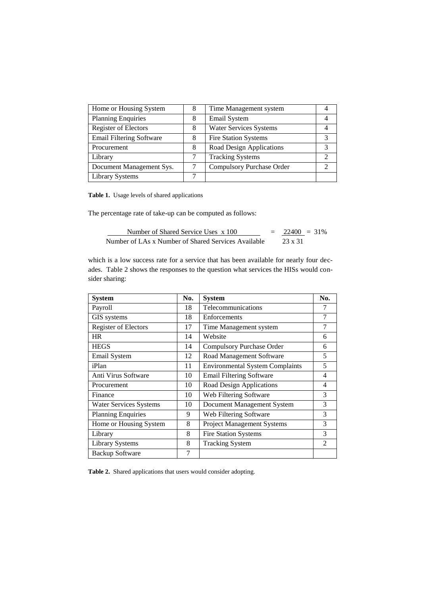| Home or Housing System          | 8 | Time Management system           |               |
|---------------------------------|---|----------------------------------|---------------|
| <b>Planning Enquiries</b>       | 8 | Email System                     |               |
| Register of Electors            | 8 | <b>Water Services Systems</b>    |               |
| <b>Email Filtering Software</b> | 8 | <b>Fire Station Systems</b>      | 3             |
| Procurement                     | 8 | Road Design Applications         |               |
| Library                         |   | <b>Tracking Systems</b>          | $\mathcal{D}$ |
| Document Management Sys.        |   | <b>Compulsory Purchase Order</b> |               |
| <b>Library Systems</b>          |   |                                  |               |

**Table 1.** Usage levels of shared applications

The percentage rate of take-up can be computed as follows:

Number of Shared Service Uses x 100 = 
$$
22400 = 31\%
$$
  
Number of LAs x Number of Shared Services Available =  $23 \times 31$ 

which is a low success rate for a service that has been available for nearly four decades. Table 2 shows the responses to the question what services the HISs would consider sharing:

| <b>System</b>                 | No. | <b>System</b>                          | No.                      |
|-------------------------------|-----|----------------------------------------|--------------------------|
| Payroll                       | 18  | Telecommunications                     | 7                        |
| GIS systems                   | 18  | Enforcements                           | 7                        |
| Register of Electors          | 17  | Time Management system                 | 7                        |
| HR                            | 14  | Website                                | 6                        |
| <b>HEGS</b>                   | 14  | Compulsory Purchase Order              | 6                        |
| Email System                  | 12  | Road Management Software               | 5                        |
| iPlan                         | 11  | <b>Environmental System Complaints</b> | $\overline{\phantom{0}}$ |
| Anti Virus Software           | 10  | <b>Email Filtering Software</b>        | 4                        |
| Procurement                   | 10  | Road Design Applications               | 4                        |
| Finance                       | 10  | Web Filtering Software                 | 3                        |
| <b>Water Services Systems</b> | 10  | Document Management System             | 3                        |
| <b>Planning Enquiries</b>     | 9   | Web Filtering Software                 | 3                        |
| Home or Housing System        | 8   | <b>Project Management Systems</b>      | 3                        |
| Library                       | 8   | <b>Fire Station Systems</b>            | 3                        |
| <b>Library Systems</b>        | 8   | <b>Tracking System</b>                 | $\mathfrak{D}$           |
| <b>Backup Software</b>        | 7   |                                        |                          |

**Table 2.** Shared applications that users would consider adopting.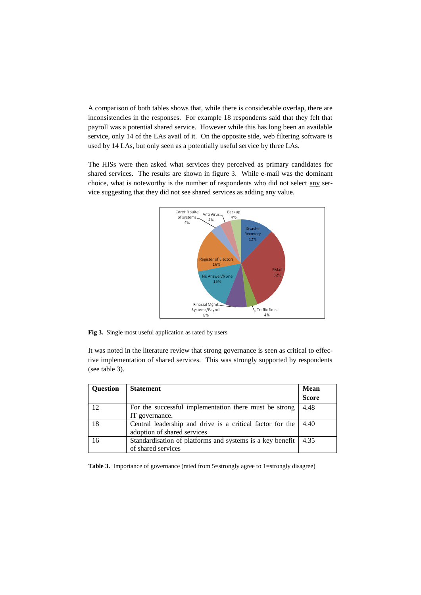A comparison of both tables shows that, while there is considerable overlap, there are inconsistencies in the responses. For example 18 respondents said that they felt that payroll was a potential shared service. However while this has long been an available service, only 14 of the LAs avail of it. On the opposite side, web filtering software is used by 14 LAs, but only seen as a potentially useful service by three LAs.

The HISs were then asked what services they perceived as primary candidates for shared services. The results are shown in figure 3. While e-mail was the dominant choice, what is noteworthy is the number of respondents who did not select any service suggesting that they did not see shared services as adding any value.



**Fig 3.** Single most useful application as rated by users

It was noted in the literature review that strong governance is seen as critical to effective implementation of shared services. This was strongly supported by respondents (see table 3).

| <b>Question</b> | <b>Statement</b>                                          | <b>Mean</b>  |
|-----------------|-----------------------------------------------------------|--------------|
|                 |                                                           | <b>Score</b> |
| 12              | For the successful implementation there must be strong    | 4.48         |
|                 | IT governance.                                            |              |
| 18              | Central leadership and drive is a critical factor for the | 4.40         |
|                 | adoption of shared services                               |              |
| 16              | Standardisation of platforms and systems is a key benefit | 4.35         |
|                 | of shared services                                        |              |

Table 3. Importance of governance (rated from 5=strongly agree to 1=strongly disagree)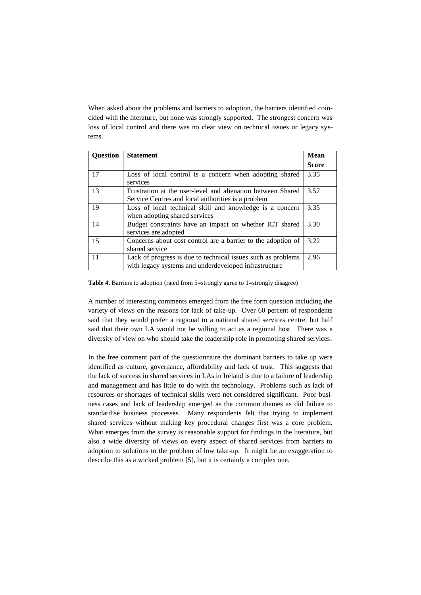When asked about the problems and barriers to adoption, the barriers identified coincided with the literature, but none was strongly supported. The strongest concern was loss of local control and there was no clear view on technical issues or legacy systems.

| Question | <b>Statement</b>                                                                                                      | Mean         |
|----------|-----------------------------------------------------------------------------------------------------------------------|--------------|
|          |                                                                                                                       | <b>Score</b> |
| 17       | Loss of local control is a concern when adopting shared<br>services                                                   | 3.35         |
| 13       | Frustration at the user-level and alienation between Shared<br>Service Centres and local authorities is a problem     | 3.57         |
| 19       | Loss of local technical skill and knowledge is a concern<br>when adopting shared services                             | 3.35         |
| 14       | Budget constraints have an impact on whether ICT shared<br>services are adopted                                       | 3.30         |
| 15       | Concerns about cost control are a barrier to the adoption of<br>shared service                                        | 3.22         |
| 11       | Lack of progress is due to technical issues such as problems<br>with legacy systems and underdeveloped infrastructure | 2.96         |

**Table 4.** Barriers to adoption (rated from 5=strongly agree to 1=strongly disagree)

A number of interesting comments emerged from the free form question including the variety of views on the reasons for lack of take-up. Over 60 percent of respondents said that they would prefer a regional to a national shared services centre, but half said that their own LA would not be willing to act as a regional host. There was a diversity of view on who should take the leadership role in promoting shared services.

In the free comment part of the questionnaire the dominant barriers to take up were identified as culture, governance, affordability and lack of trust. This suggests that the lack of success in shared services in LAs in Ireland is due to a failure of leadership and management and has little to do with the technology. Problems such as lack of resources or shortages of technical skills were not considered significant. Poor business cases and lack of leadership emerged as the common themes as did failure to standardise business processes. Many respondents felt that trying to implement shared services without making key procedural changes first was a core problem. What emerges from the survey is reasonable support for findings in the literature, but also a wide diversity of views on every aspect of shared services from barriers to adoption to solutions to the problem of low take-up. It might be an exaggeration to describe this as a wicked problem [5], but it is certainly a complex one.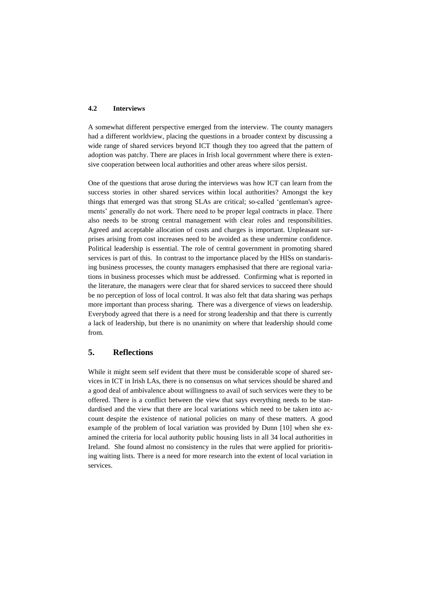## **4.2 Interviews**

A somewhat different perspective emerged from the interview. The county managers had a different worldview, placing the questions in a broader context by discussing a wide range of shared services beyond ICT though they too agreed that the pattern of adoption was patchy. There are places in Irish local government where there is extensive cooperation between local authorities and other areas where silos persist.

One of the questions that arose during the interviews was how ICT can learn from the success stories in other shared services within local authorities? Amongst the key things that emerged was that strong SLAs are critical; so-called 'gentleman's agreements' generally do not work. There need to be proper legal contracts in place. There also needs to be strong central management with clear roles and responsibilities. Agreed and acceptable allocation of costs and charges is important. Unpleasant surprises arising from cost increases need to be avoided as these undermine confidence. Political leadership is essential. The role of central government in promoting shared services is part of this. In contrast to the importance placed by the HISs on standarising business processes, the county managers emphasised that there are regional variations in business processes which must be addressed. Confirming what is reported in the literature, the managers were clear that for shared services to succeed there should be no perception of loss of local control. It was also felt that data sharing was perhaps more important than process sharing. There was a divergence of views on leadership. Everybody agreed that there is a need for strong leadership and that there is currently a lack of leadership, but there is no unanimity on where that leadership should come from.

# **5. Reflections**

While it might seem self evident that there must be considerable scope of shared services in ICT in Irish LAs, there is no consensus on what services should be shared and a good deal of ambivalence about willingness to avail of such services were they to be offered. There is a conflict between the view that says everything needs to be standardised and the view that there are local variations which need to be taken into account despite the existence of national policies on many of these matters. A good example of the problem of local variation was provided by Dunn [10] when she examined the criteria for local authority public housing lists in all 34 local authorities in Ireland. She found almost no consistency in the rules that were applied for prioritising waiting lists. There is a need for more research into the extent of local variation in services.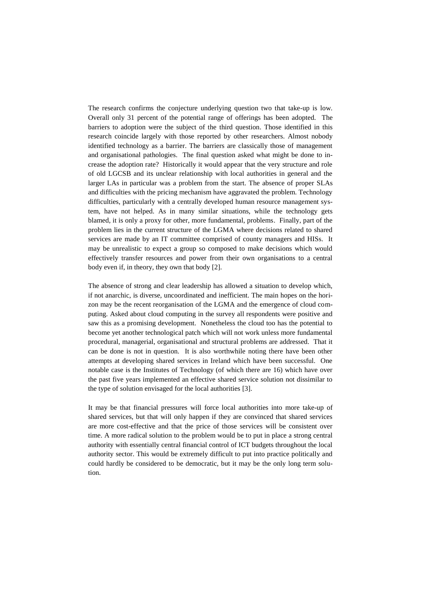The research confirms the conjecture underlying question two that take-up is low. Overall only 31 percent of the potential range of offerings has been adopted. The barriers to adoption were the subject of the third question. Those identified in this research coincide largely with those reported by other researchers. Almost nobody identified technology as a barrier. The barriers are classically those of management and organisational pathologies. The final question asked what might be done to increase the adoption rate? Historically it would appear that the very structure and role of old LGCSB and its unclear relationship with local authorities in general and the larger LAs in particular was a problem from the start. The absence of proper SLAs and difficulties with the pricing mechanism have aggravated the problem. Technology difficulties, particularly with a centrally developed human resource management system, have not helped. As in many similar situations, while the technology gets blamed, it is only a proxy for other, more fundamental, problems. Finally, part of the problem lies in the current structure of the LGMA where decisions related to shared services are made by an IT committee comprised of county managers and HISs. It may be unrealistic to expect a group so composed to make decisions which would effectively transfer resources and power from their own organisations to a central body even if, in theory, they own that body [2].

The absence of strong and clear leadership has allowed a situation to develop which, if not anarchic, is diverse, uncoordinated and inefficient. The main hopes on the horizon may be the recent reorganisation of the LGMA and the emergence of cloud computing. Asked about cloud computing in the survey all respondents were positive and saw this as a promising development. Nonetheless the cloud too has the potential to become yet another technological patch which will not work unless more fundamental procedural, managerial, organisational and structural problems are addressed. That it can be done is not in question. It is also worthwhile noting there have been other attempts at developing shared services in Ireland which have been successful. One notable case is the Institutes of Technology (of which there are 16) which have over the past five years implemented an effective shared service solution not dissimilar to the type of solution envisaged for the local authorities [3].

It may be that financial pressures will force local authorities into more take-up of shared services, but that will only happen if they are convinced that shared services are more cost-effective and that the price of those services will be consistent over time. A more radical solution to the problem would be to put in place a strong central authority with essentially central financial control of ICT budgets throughout the local authority sector. This would be extremely difficult to put into practice politically and could hardly be considered to be democratic, but it may be the only long term solution.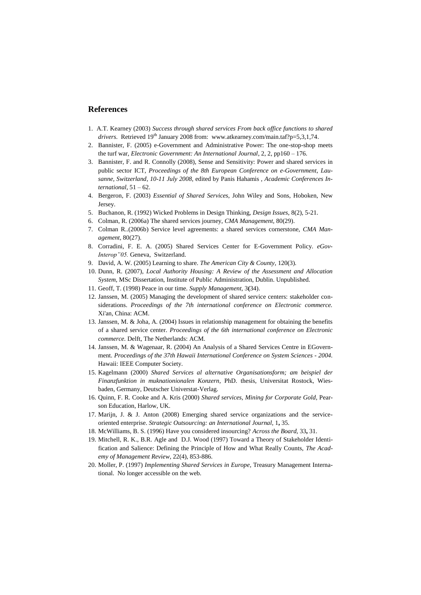#### **References**

- 1. A.T. Kearney (2003) *Success through shared services From back office functions to shared drivers*. Retrieved 19<sup>th</sup> January 2008 from: www.atkearney.com/main.taf?p=5,3,1,74.
- 2. Bannister, F. (2005) e-Government and Administrative Power: The one-stop-shop meets the turf war, *Electronic Government: An International Journal*, 2, 2, pp160 – 176.
- 3. Bannister, F. and R. Connolly (2008), Sense and Sensitivity: Power and shared services in public sector ICT, *Proceedings of the 8th European Conference on e-Government*, *Lausanne, Switzerland*, *10-11 July 2008*, edited by Panis Hahamis , *Academic Conferences International*, 51 – 62.
- 4. Bergeron, F. (2003) *Essential of Shared Services*, John Wiley and Sons, Hoboken, New Jersey.
- 5. Buchanon, R. (1992) Wicked Problems in Design Thinking, *Design Issues*, 8(2), 5-21.
- 6. Colman, R. (2006a) The shared services journey, *CMA Management,* 80(29).
- 7. Colman R..(2006b) Service level agreements: a shared services cornerstone, *CMA Management,* 80(27).
- 8. Corradini, F. E. A. (2005) Shared Services Center for E-Government Policy. *eGov-Interop"05.* Geneva, Switzerland.
- 9. David, A. W. (2005) Learning to share. *The American City & County,* 120(3).
- 10. Dunn, R. (2007), *Local Authority Housing: A Review of the Assessment and Allocation System*, MSc Dissertation, Institute of Public Administration, Dublin. Unpublished.
- 11. Geoff, T. (1998) Peace in our time. *Supply Management,* 3**(**34).
- 12. Janssen, M. (2005) Managing the development of shared service centers: stakeholder considerations. *Proceedings of the 7th international conference on Electronic commerce.*  Xi'an, China: ACM.
- 13. Janssen, M. & Joha, A. (2004) Issues in relationship management for obtaining the benefits of a shared service center. *Proceedings of the 6th international conference on Electronic commerce.* Delft, The Netherlands: ACM.
- 14. Janssen, M. & Wagenaar, R. (2004) An Analysis of a Shared Services Centre in EGovernment. *Proceedings of the 37th Hawaii International Conference on System Sciences - 2004.*  Hawaii: IEEE Computer Society.
- 15. Kagelmann (2000) *Shared Services al alternative Organisationsform; am beispiel der Finanzfunktion in muknationionalen Konzern*, PhD. thesis, Universitat Rostock, Wiesbaden, Germany, Deutscher Universtat-Verlag.
- 16. Quinn, F. R. Cooke and A. Kris (2000) *Shared services, Mining for Corporate Gold*, Pearson Education, Harlow, UK.
- 17. Marijn, J. & J. Anton (2008) Emerging shared service organizations and the serviceoriented enterprise. *Strategic Outsourcing: an International Journal,* 1**,** 35.
- 18. McWilliams, B. S. (1996) Have you considered insourcing? *Across the Board,* 33**,** 31.
- 19. Mitchell, R. K., B.R. Agle and D.J. Wood (1997) Toward a Theory of Stakeholder Identification and Salience: Defining the Principle of How and What Really Counts, *The Academy of Management Review*, 22(4), 853-886.
- 20. Moller, P. (1997) *Implementing Shared Services in Europe*, Treasury Management International. No longer accessible on the web.